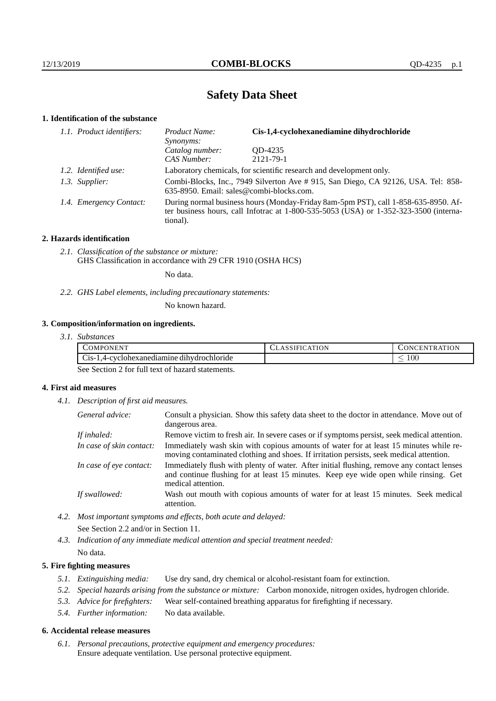# **Safety Data Sheet**

## **1. Identification of the substance**

| 1.1. Product identifiers: | Product Name:<br>Synonyms:                                                                                                                                                              | Cis-1,4-cyclohexanediamine dihydrochloride |  |
|---------------------------|-----------------------------------------------------------------------------------------------------------------------------------------------------------------------------------------|--------------------------------------------|--|
|                           | Catalog number:<br>CAS Number:                                                                                                                                                          | OD-4235<br>2121-79-1                       |  |
|                           |                                                                                                                                                                                         |                                            |  |
| 1.2. Identified use:      | Laboratory chemicals, for scientific research and development only.                                                                                                                     |                                            |  |
| 1.3. Supplier:            | Combi-Blocks, Inc., 7949 Silverton Ave # 915, San Diego, CA 92126, USA. Tel: 858-<br>635-8950. Email: sales@combi-blocks.com.                                                           |                                            |  |
| 1.4. Emergency Contact:   | During normal business hours (Monday-Friday 8am-5pm PST), call 1-858-635-8950. Af-<br>ter business hours, call Infotrac at 1-800-535-5053 (USA) or 1-352-323-3500 (interna-<br>tional). |                                            |  |

## **2. Hazards identification**

*2.1. Classification of the substance or mixture:* GHS Classification in accordance with 29 CFR 1910 (OSHA HCS)

No data.

*2.2. GHS Label elements, including precautionary statements:*

No known hazard.

# **3. Composition/information on ingredients.**

*3.1. Substances*

| <b>ATT</b><br>OMPONEN'.                                                   | MTON<br>10 N<br>IFI<br>AΙ | ATION<br><b>TRAT</b><br>:EN<br>.)NG |
|---------------------------------------------------------------------------|---------------------------|-------------------------------------|
| $\sim$<br>.<br>.4-cyclohexanediamine dihydrochloride<br>$\bigcup$ 1S- $'$ |                           | $100\,$<br>_                        |

See Section 2 for full text of hazard statements.

# **4. First aid measures**

*4.1. Description of first aid measures.*

| General advice:          | Consult a physician. Show this safety data sheet to the doctor in attendance. Move out of<br>dangerous area.                                                                                            |
|--------------------------|---------------------------------------------------------------------------------------------------------------------------------------------------------------------------------------------------------|
| If inhaled:              | Remove victim to fresh air. In severe cases or if symptoms persist, seek medical attention.                                                                                                             |
| In case of skin contact: | Immediately wash skin with copious amounts of water for at least 15 minutes while re-<br>moving contaminated clothing and shoes. If irritation persists, seek medical attention.                        |
| In case of eye contact:  | Immediately flush with plenty of water. After initial flushing, remove any contact lenses<br>and continue flushing for at least 15 minutes. Keep eye wide open while rinsing. Get<br>medical attention. |
| If swallowed:            | Wash out mouth with copious amounts of water for at least 15 minutes. Seek medical<br>attention.                                                                                                        |

- *4.2. Most important symptoms and effects, both acute and delayed:* See Section 2.2 and/or in Section 11.
- *4.3. Indication of any immediate medical attention and special treatment needed:* No data.

## **5. Fire fighting measures**

- *5.1. Extinguishing media:* Use dry sand, dry chemical or alcohol-resistant foam for extinction.
- *5.2. Special hazards arising from the substance or mixture:* Carbon monoxide, nitrogen oxides, hydrogen chloride.
- *5.3. Advice for firefighters:* Wear self-contained breathing apparatus for firefighting if necessary.
- *5.4. Further information:* No data available.

#### **6. Accidental release measures**

*6.1. Personal precautions, protective equipment and emergency procedures:* Ensure adequate ventilation. Use personal protective equipment.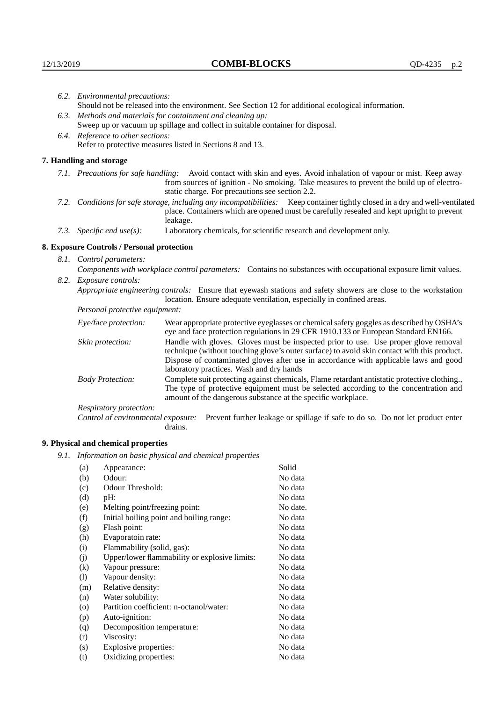|                                                             | 6.2. Environmental precautions:                                                                                                                                                                                                                                    |                                                                                                                                                                                                                                                                                                                        |  |  |
|-------------------------------------------------------------|--------------------------------------------------------------------------------------------------------------------------------------------------------------------------------------------------------------------------------------------------------------------|------------------------------------------------------------------------------------------------------------------------------------------------------------------------------------------------------------------------------------------------------------------------------------------------------------------------|--|--|
|                                                             | Should not be released into the environment. See Section 12 for additional ecological information.                                                                                                                                                                 |                                                                                                                                                                                                                                                                                                                        |  |  |
| 6.3. Methods and materials for containment and cleaning up: |                                                                                                                                                                                                                                                                    |                                                                                                                                                                                                                                                                                                                        |  |  |
|                                                             |                                                                                                                                                                                                                                                                    | Sweep up or vacuum up spillage and collect in suitable container for disposal.                                                                                                                                                                                                                                         |  |  |
|                                                             | 6.4. Reference to other sections:                                                                                                                                                                                                                                  |                                                                                                                                                                                                                                                                                                                        |  |  |
| Refer to protective measures listed in Sections 8 and 13.   |                                                                                                                                                                                                                                                                    |                                                                                                                                                                                                                                                                                                                        |  |  |
|                                                             | 7. Handling and storage                                                                                                                                                                                                                                            |                                                                                                                                                                                                                                                                                                                        |  |  |
|                                                             | 7.1. Precautions for safe handling: Avoid contact with skin and eyes. Avoid inhalation of vapour or mist. Keep away<br>from sources of ignition - No smoking. Take measures to prevent the build up of electro-<br>static charge. For precautions see section 2.2. |                                                                                                                                                                                                                                                                                                                        |  |  |
|                                                             | 7.2. Conditions for safe storage, including any incompatibilities: Keep container tightly closed in a dry and well-ventilated<br>place. Containers which are opened must be carefully resealed and kept upright to prevent<br>leakage.                             |                                                                                                                                                                                                                                                                                                                        |  |  |
|                                                             | 7.3. Specific end $use(s)$ :                                                                                                                                                                                                                                       | Laboratory chemicals, for scientific research and development only.                                                                                                                                                                                                                                                    |  |  |
|                                                             | 8. Exposure Controls / Personal protection                                                                                                                                                                                                                         |                                                                                                                                                                                                                                                                                                                        |  |  |
|                                                             | 8.1. Control parameters:                                                                                                                                                                                                                                           |                                                                                                                                                                                                                                                                                                                        |  |  |
|                                                             | Components with workplace control parameters: Contains no substances with occupational exposure limit values.                                                                                                                                                      |                                                                                                                                                                                                                                                                                                                        |  |  |
| 8.2.                                                        | Exposure controls:                                                                                                                                                                                                                                                 |                                                                                                                                                                                                                                                                                                                        |  |  |
|                                                             |                                                                                                                                                                                                                                                                    | Appropriate engineering controls: Ensure that eyewash stations and safety showers are close to the workstation<br>location. Ensure adequate ventilation, especially in confined areas.                                                                                                                                 |  |  |
|                                                             | Personal protective equipment:                                                                                                                                                                                                                                     |                                                                                                                                                                                                                                                                                                                        |  |  |
|                                                             | Eye/face protection:                                                                                                                                                                                                                                               | Wear appropriate protective eyeglasses or chemical safety goggles as described by OSHA's<br>eye and face protection regulations in 29 CFR 1910.133 or European Standard EN166.                                                                                                                                         |  |  |
|                                                             | Skin protection:                                                                                                                                                                                                                                                   | Handle with gloves. Gloves must be inspected prior to use. Use proper glove removal<br>technique (without touching glove's outer surface) to avoid skin contact with this product.<br>Dispose of contaminated gloves after use in accordance with applicable laws and good<br>laboratory practices. Wash and dry hands |  |  |
|                                                             | <b>Body Protection:</b>                                                                                                                                                                                                                                            | Complete suit protecting against chemicals, Flame retardant antistatic protective clothing.,<br>The type of protective equipment must be selected according to the concentration and<br>amount of the dangerous substance at the specific workplace.                                                                   |  |  |
|                                                             | Decriptory protection:                                                                                                                                                                                                                                             |                                                                                                                                                                                                                                                                                                                        |  |  |

Respiratory protection:

Control of environmental exposure: Prevent further leakage or spillage if safe to do so. Do not let product enter drains.

# **9. Physical and chemical properties**

*9.1. Information on basic physical and chemical properties*

| (a)                |                                               | Solid    |
|--------------------|-----------------------------------------------|----------|
|                    | Appearance:                                   |          |
| (b)                | Odour:                                        | No data  |
| (c)                | Odour Threshold:                              | No data  |
| (d)                | pH:                                           | No data  |
| (e)                | Melting point/freezing point:                 | No date. |
| (f)                | Initial boiling point and boiling range:      | No data  |
| (g)                | Flash point:                                  | No data  |
| (h)                | Evaporatoin rate:                             | No data  |
| (i)                | Flammability (solid, gas):                    | No data  |
| (i)                | Upper/lower flammability or explosive limits: | No data  |
| $\rm(k)$           | Vapour pressure:                              | No data  |
| (1)                | Vapour density:                               | No data  |
| (m)                | Relative density:                             | No data  |
| (n)                | Water solubility:                             | No data  |
| $\left( 0 \right)$ | Partition coefficient: n-octanol/water:       | No data  |
| (p)                | Auto-ignition:                                | No data  |
| (q)                | Decomposition temperature:                    | No data  |
| (r)                | Viscosity:                                    | No data  |
| (s)                | Explosive properties:                         | No data  |
| (t)                | Oxidizing properties:                         | No data  |